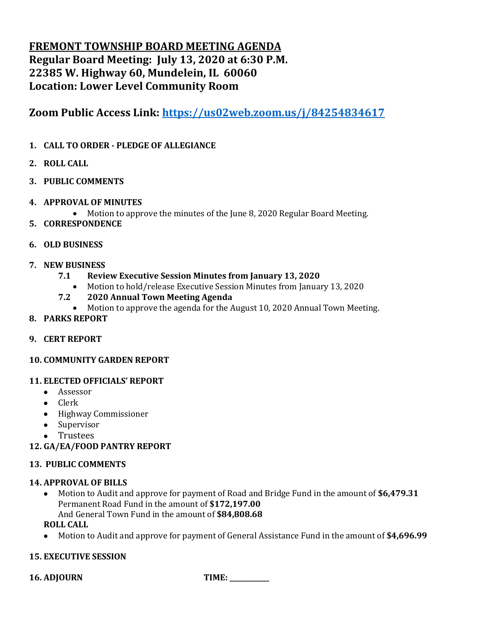# **FREMONT TOWNSHIP BOARD MEETING AGENDA Regular Board Meeting: July 13, 2020 at 6:30 P.M. 22385 W. Highway 60, Mundelein, IL 60060 Location: Lower Level Community Room**

**Zoom Public Access Link:<https://us02web.zoom.us/j/84254834617>**

- **1. CALL TO ORDER - PLEDGE OF ALLEGIANCE**
- **2. ROLL CALL**
- **3. PUBLIC COMMENTS**
- **4. APPROVAL OF MINUTES**
	- Motion to approve the minutes of the June 8, 2020 Regular Board Meeting.
- **5. CORRESPONDENCE**
- **6. OLD BUSINESS**
- **7. NEW BUSINESS**
	- **7.1 Review Executive Session Minutes from January 13, 2020**
		- Motion to hold/release Executive Session Minutes from January 13, 2020
	- **7.2 2020 Annual Town Meeting Agenda**
		- Motion to approve the agenda for the August 10, 2020 Annual Town Meeting.
- **8. PARKS REPORT**
- **9. CERT REPORT**
- **10. COMMUNITY GARDEN REPORT**

## **11. ELECTED OFFICIALS' REPORT**

- Assessor
- Clerk
- Highway Commissioner
- Supervisor
- Trustees
- **12. GA/EA/FOOD PANTRY REPORT**

## **13. PUBLIC COMMENTS**

## **14. APPROVAL OF BILLS**

• Motion to Audit and approve for payment of Road and Bridge Fund in the amount of **\$6,479.31** Permanent Road Fund in the amount of **\$172,197.00** And General Town Fund in the amount of **\$84,808.68**

**ROLL CALL**

• Motion to Audit and approve for payment of General Assistance Fund in the amount of **\$4,696.99**

## **15. EXECUTIVE SESSION**

**16. ADJOURN TIME: \_\_\_\_\_\_\_\_\_\_\_\_**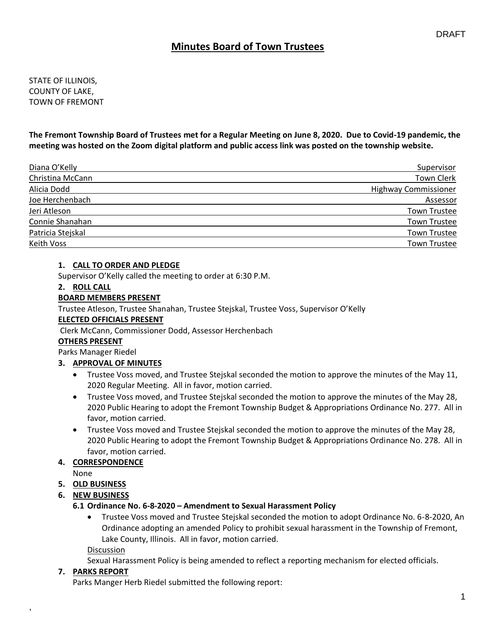STATE OF ILLINOIS, COUNTY OF LAKE, TOWN OF FREMONT

**The Fremont Township Board of Trustees met for a Regular Meeting on June 8, 2020. Due to Covid-19 pandemic, the meeting was hosted on the Zoom digital platform and public access link was posted on the township website.**

| Diana O'Kelly     | Supervisor                  |
|-------------------|-----------------------------|
| Christina McCann  | Town Clerk                  |
| Alicia Dodd       | <b>Highway Commissioner</b> |
| Joe Herchenbach   | Assessor                    |
| Jeri Atleson      | <b>Town Trustee</b>         |
| Connie Shanahan   | <b>Town Trustee</b>         |
| Patricia Stejskal | <b>Town Trustee</b>         |
| Keith Voss        | <b>Town Trustee</b>         |

### **1. CALL TO ORDER AND PLEDGE**

Supervisor O'Kelly called the meeting to order at 6:30 P.M.

#### **2. ROLL CALL**

#### **BOARD MEMBERS PRESENT**

Trustee Atleson, Trustee Shanahan, Trustee Stejskal, Trustee Voss, Supervisor O'Kelly

#### **ELECTED OFFICIALS PRESENT**

Clerk McCann, Commissioner Dodd, Assessor Herchenbach

#### **OTHERS PRESENT**

Parks Manager Riedel

## **3. APPROVAL OF MINUTES**

- Trustee Voss moved, and Trustee Stejskal seconded the motion to approve the minutes of the May 11, 2020 Regular Meeting. All in favor, motion carried.
- Trustee Voss moved, and Trustee Stejskal seconded the motion to approve the minutes of the May 28, 2020 Public Hearing to adopt the Fremont Township Budget & Appropriations Ordinance No. 277. All in favor, motion carried.
- Trustee Voss moved and Trustee Stejskal seconded the motion to approve the minutes of the May 28, 2020 Public Hearing to adopt the Fremont Township Budget & Appropriations Ordinance No. 278. All in favor, motion carried.

## **4. CORRESPONDENCE**

None

#### **5. OLD BUSINESS**

**6. NEW BUSINESS**

#### **6.1 Ordinance No. 6-8-2020 – Amendment to Sexual Harassment Policy**

• Trustee Voss moved and Trustee Stejskal seconded the motion to adopt Ordinance No. 6-8-2020, An Ordinance adopting an amended Policy to prohibit sexual harassment in the Township of Fremont, Lake County, Illinois. All in favor, motion carried.

Discussion

Sexual Harassment Policy is being amended to reflect a reporting mechanism for elected officials.

#### **7. PARKS REPORT**

,

Parks Manger Herb Riedel submitted the following report: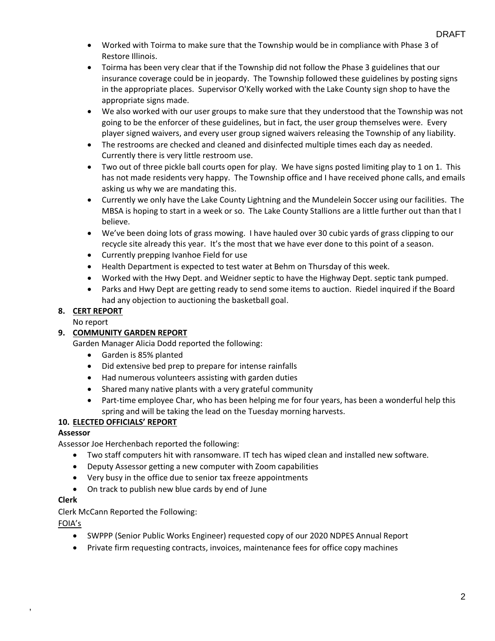- Worked with Toirma to make sure that the Township would be in compliance with Phase 3 of Restore Illinois.
- Toirma has been very clear that if the Township did not follow the Phase 3 guidelines that our insurance coverage could be in jeopardy. The Township followed these guidelines by posting signs in the appropriate places. Supervisor O'Kelly worked with the Lake County sign shop to have the appropriate signs made.
- We also worked with our user groups to make sure that they understood that the Township was not going to be the enforcer of these guidelines, but in fact, the user group themselves were. Every player signed waivers, and every user group signed waivers releasing the Township of any liability.
- The restrooms are checked and cleaned and disinfected multiple times each day as needed. Currently there is very little restroom use.
- Two out of three pickle ball courts open for play. We have signs posted limiting play to 1 on 1. This has not made residents very happy. The Township office and I have received phone calls, and emails asking us why we are mandating this.
- Currently we only have the Lake County Lightning and the Mundelein Soccer using our facilities. The MBSA is hoping to start in a week or so. The Lake County Stallions are a little further out than that I believe.
- We've been doing lots of grass mowing. I have hauled over 30 cubic yards of grass clipping to our recycle site already this year. It's the most that we have ever done to this point of a season.
- Currently prepping Ivanhoe Field for use
- Health Department is expected to test water at Behm on Thursday of this week.
- Worked with the Hwy Dept. and Weidner septic to have the Highway Dept. septic tank pumped.
- Parks and Hwy Dept are getting ready to send some items to auction. Riedel inquired if the Board had any objection to auctioning the basketball goal.

## **8. CERT REPORT**

No report

## **9. COMMUNITY GARDEN REPORT**

Garden Manager Alicia Dodd reported the following:

- Garden is 85% planted
- Did extensive bed prep to prepare for intense rainfalls
- Had numerous volunteers assisting with garden duties
- Shared many native plants with a very grateful community
- Part-time employee Char, who has been helping me for four years, has been a wonderful help this spring and will be taking the lead on the Tuesday morning harvests.

## **10. ELECTED OFFICIALS' REPORT**

## **Assessor**

Assessor Joe Herchenbach reported the following:

- Two staff computers hit with ransomware. IT tech has wiped clean and installed new software.
- Deputy Assessor getting a new computer with Zoom capabilities
- Very busy in the office due to senior tax freeze appointments
- On track to publish new blue cards by end of June

#### **Clerk**

Clerk McCann Reported the Following:

#### FOIA's

,

- SWPPP (Senior Public Works Engineer) requested copy of our 2020 NDPES Annual Report
- Private firm requesting contracts, invoices, maintenance fees for office copy machines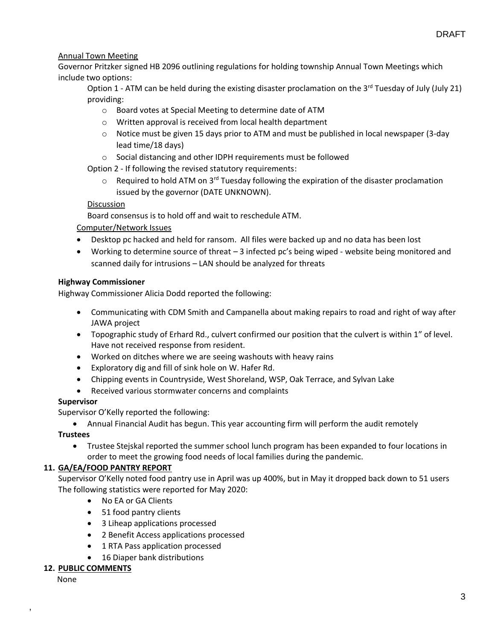## Annual Town Meeting

Governor Pritzker signed HB 2096 outlining regulations for holding township Annual Town Meetings which include two options:

Option 1 - ATM can be held during the existing disaster proclamation on the 3<sup>rd</sup> Tuesday of July (July 21) providing:

- o Board votes at Special Meeting to determine date of ATM
- o Written approval is received from local health department
- o Notice must be given 15 days prior to ATM and must be published in local newspaper (3-day lead time/18 days)
- o Social distancing and other IDPH requirements must be followed

Option 2 - If following the revised statutory requirements:

 $\circ$  Required to hold ATM on 3<sup>rd</sup> Tuesday following the expiration of the disaster proclamation issued by the governor (DATE UNKNOWN).

#### Discussion

Board consensus is to hold off and wait to reschedule ATM.

### Computer/Network Issues

- Desktop pc hacked and held for ransom. All files were backed up and no data has been lost
- Working to determine source of threat  $-3$  infected pc's being wiped website being monitored and scanned daily for intrusions – LAN should be analyzed for threats

#### **Highway Commissioner**

Highway Commissioner Alicia Dodd reported the following:

- Communicating with CDM Smith and Campanella about making repairs to road and right of way after JAWA project
- Topographic study of Erhard Rd., culvert confirmed our position that the culvert is within 1" of level. Have not received response from resident.
- Worked on ditches where we are seeing washouts with heavy rains
- Exploratory dig and fill of sink hole on W. Hafer Rd.
- Chipping events in Countryside, West Shoreland, WSP, Oak Terrace, and Sylvan Lake
- Received various stormwater concerns and complaints

#### **Supervisor**

Supervisor O'Kelly reported the following:

• Annual Financial Audit has begun. This year accounting firm will perform the audit remotely

#### **Trustees**

• Trustee Stejskal reported the summer school lunch program has been expanded to four locations in order to meet the growing food needs of local families during the pandemic.

## **11. GA/EA/FOOD PANTRY REPORT**

Supervisor O'Kelly noted food pantry use in April was up 400%, but in May it dropped back down to 51 users The following statistics were reported for May 2020:

- No EA or GA Clients
- 51 food pantry clients
- 3 Liheap applications processed
- 2 Benefit Access applications processed
- 1 RTA Pass application processed
- 16 Diaper bank distributions

#### **12. PUBLIC COMMENTS**

None

,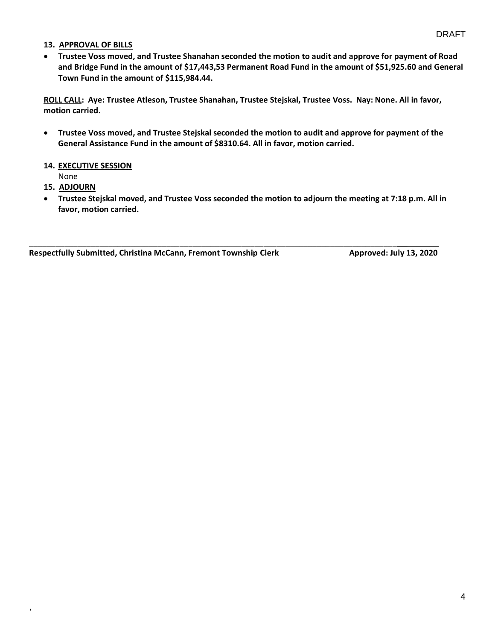#### **13. APPROVAL OF BILLS**

• **Trustee Voss moved, and Trustee Shanahan seconded the motion to audit and approve for payment of Road and Bridge Fund in the amount of \$17,443,53 Permanent Road Fund in the amount of \$51,925.60 and General Town Fund in the amount of \$115,984.44.**

**ROLL CALL: Aye: Trustee Atleson, Trustee Shanahan, Trustee Stejskal, Trustee Voss. Nay: None. All in favor, motion carried.**

• **Trustee Voss moved, and Trustee Stejskal seconded the motion to audit and approve for payment of the General Assistance Fund in the amount of \$8310.64. All in favor, motion carried.**

#### **14. EXECUTIVE SESSION**

None

#### **15. ADJOURN**

,

• **Trustee Stejskal moved, and Trustee Voss seconded the motion to adjourn the meeting at 7:18 p.m. All in favor, motion carried.**

\_\_\_\_\_\_\_\_\_\_\_\_\_\_\_\_\_\_\_\_\_\_\_\_\_\_\_\_\_\_\_\_\_\_\_\_\_\_\_\_\_\_\_\_\_\_\_\_\_\_\_\_\_\_\_\_\_\_\_\_\_\_\_\_\_\_\_\_\_\_\_\_\_\_\_\_\_\_\_\_\_\_\_ \_\_\_\_\_\_\_

**Respectfully Submitted, Christina McCann, Fremont Township Clerk Approved: July 13, 2020**